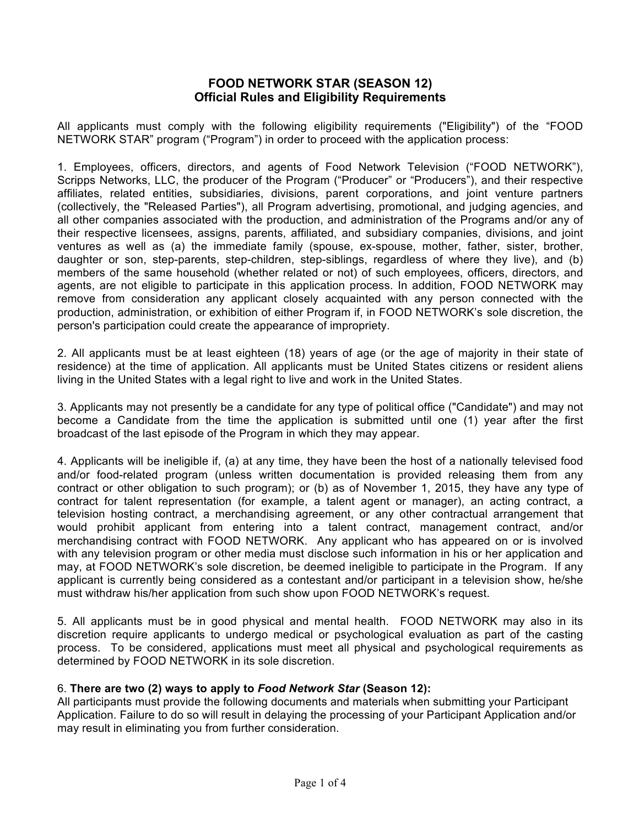## **FOOD NETWORK STAR (SEASON 12) Official Rules and Eligibility Requirements**

All applicants must comply with the following eligibility requirements ("Eligibility") of the "FOOD NETWORK STAR" program ("Program") in order to proceed with the application process:

1. Employees, officers, directors, and agents of Food Network Television ("FOOD NETWORK"), Scripps Networks, LLC, the producer of the Program ("Producer" or "Producers"), and their respective affiliates, related entities, subsidiaries, divisions, parent corporations, and joint venture partners (collectively, the "Released Parties"), all Program advertising, promotional, and judging agencies, and all other companies associated with the production, and administration of the Programs and/or any of their respective licensees, assigns, parents, affiliated, and subsidiary companies, divisions, and joint ventures as well as (a) the immediate family (spouse, ex-spouse, mother, father, sister, brother, daughter or son, step-parents, step-children, step-siblings, regardless of where they live), and (b) members of the same household (whether related or not) of such employees, officers, directors, and agents, are not eligible to participate in this application process. In addition, FOOD NETWORK may remove from consideration any applicant closely acquainted with any person connected with the production, administration, or exhibition of either Program if, in FOOD NETWORK's sole discretion, the person's participation could create the appearance of impropriety.

2. All applicants must be at least eighteen (18) years of age (or the age of majority in their state of residence) at the time of application. All applicants must be United States citizens or resident aliens living in the United States with a legal right to live and work in the United States.

3. Applicants may not presently be a candidate for any type of political office ("Candidate") and may not become a Candidate from the time the application is submitted until one (1) year after the first broadcast of the last episode of the Program in which they may appear.

4. Applicants will be ineligible if, (a) at any time, they have been the host of a nationally televised food and/or food-related program (unless written documentation is provided releasing them from any contract or other obligation to such program); or (b) as of November 1, 2015, they have any type of contract for talent representation (for example, a talent agent or manager), an acting contract, a television hosting contract, a merchandising agreement, or any other contractual arrangement that would prohibit applicant from entering into a talent contract, management contract, and/or merchandising contract with FOOD NETWORK. Any applicant who has appeared on or is involved with any television program or other media must disclose such information in his or her application and may, at FOOD NETWORK's sole discretion, be deemed ineligible to participate in the Program. If any applicant is currently being considered as a contestant and/or participant in a television show, he/she must withdraw his/her application from such show upon FOOD NETWORK's request.

5. All applicants must be in good physical and mental health. FOOD NETWORK may also in its discretion require applicants to undergo medical or psychological evaluation as part of the casting process. To be considered, applications must meet all physical and psychological requirements as determined by FOOD NETWORK in its sole discretion.

## 6. **There are two (2) ways to apply to** *Food Network Star* **(Season 12):**

All participants must provide the following documents and materials when submitting your Participant Application. Failure to do so will result in delaying the processing of your Participant Application and/or may result in eliminating you from further consideration.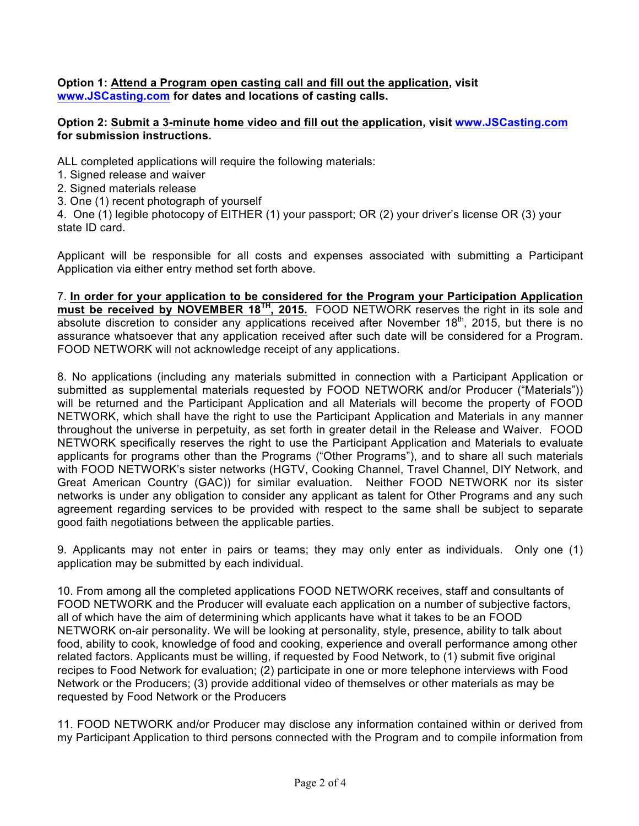**Option 1: Attend a Program open casting call and fill out the application, visit www.JSCasting.com for dates and locations of casting calls.**

## **Option 2: Submit a 3-minute home video and fill out the application, visit www.JSCasting.com for submission instructions.**

ALL completed applications will require the following materials:

- 1. Signed release and waiver
- 2. Signed materials release
- 3. One (1) recent photograph of yourself

4. One (1) legible photocopy of EITHER (1) your passport; OR (2) your driver's license OR (3) your state ID card.

Applicant will be responsible for all costs and expenses associated with submitting a Participant Application via either entry method set forth above.

7. **In order for your application to be considered for the Program your Participation Application must be received by NOVEMBER 18TH, 2015.** FOOD NETWORK reserves the right in its sole and absolute discretion to consider any applications received after November  $18<sup>th</sup>$ , 2015, but there is no assurance whatsoever that any application received after such date will be considered for a Program. FOOD NETWORK will not acknowledge receipt of any applications.

8. No applications (including any materials submitted in connection with a Participant Application or submitted as supplemental materials requested by FOOD NETWORK and/or Producer ("Materials")) will be returned and the Participant Application and all Materials will become the property of FOOD NETWORK, which shall have the right to use the Participant Application and Materials in any manner throughout the universe in perpetuity, as set forth in greater detail in the Release and Waiver. FOOD NETWORK specifically reserves the right to use the Participant Application and Materials to evaluate applicants for programs other than the Programs ("Other Programs"), and to share all such materials with FOOD NETWORK's sister networks (HGTV, Cooking Channel, Travel Channel, DIY Network, and Great American Country (GAC)) for similar evaluation. Neither FOOD NETWORK nor its sister networks is under any obligation to consider any applicant as talent for Other Programs and any such agreement regarding services to be provided with respect to the same shall be subject to separate good faith negotiations between the applicable parties.

9. Applicants may not enter in pairs or teams; they may only enter as individuals. Only one (1) application may be submitted by each individual.

10. From among all the completed applications FOOD NETWORK receives, staff and consultants of FOOD NETWORK and the Producer will evaluate each application on a number of subjective factors, all of which have the aim of determining which applicants have what it takes to be an FOOD NETWORK on-air personality. We will be looking at personality, style, presence, ability to talk about food, ability to cook, knowledge of food and cooking, experience and overall performance among other related factors. Applicants must be willing, if requested by Food Network, to (1) submit five original recipes to Food Network for evaluation; (2) participate in one or more telephone interviews with Food Network or the Producers; (3) provide additional video of themselves or other materials as may be requested by Food Network or the Producers

11. FOOD NETWORK and/or Producer may disclose any information contained within or derived from my Participant Application to third persons connected with the Program and to compile information from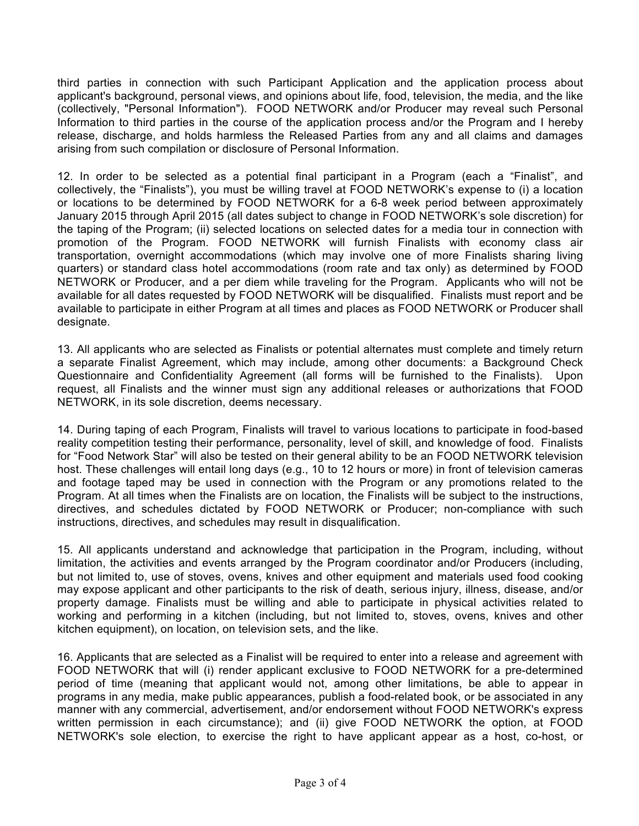third parties in connection with such Participant Application and the application process about applicant's background, personal views, and opinions about life, food, television, the media, and the like (collectively, "Personal Information"). FOOD NETWORK and/or Producer may reveal such Personal Information to third parties in the course of the application process and/or the Program and I hereby release, discharge, and holds harmless the Released Parties from any and all claims and damages arising from such compilation or disclosure of Personal Information.

12. In order to be selected as a potential final participant in a Program (each a "Finalist", and collectively, the "Finalists"), you must be willing travel at FOOD NETWORK's expense to (i) a location or locations to be determined by FOOD NETWORK for a 6-8 week period between approximately January 2015 through April 2015 (all dates subject to change in FOOD NETWORK's sole discretion) for the taping of the Program; (ii) selected locations on selected dates for a media tour in connection with promotion of the Program. FOOD NETWORK will furnish Finalists with economy class air transportation, overnight accommodations (which may involve one of more Finalists sharing living quarters) or standard class hotel accommodations (room rate and tax only) as determined by FOOD NETWORK or Producer, and a per diem while traveling for the Program. Applicants who will not be available for all dates requested by FOOD NETWORK will be disqualified. Finalists must report and be available to participate in either Program at all times and places as FOOD NETWORK or Producer shall designate.

13. All applicants who are selected as Finalists or potential alternates must complete and timely return a separate Finalist Agreement, which may include, among other documents: a Background Check Questionnaire and Confidentiality Agreement (all forms will be furnished to the Finalists). Upon request, all Finalists and the winner must sign any additional releases or authorizations that FOOD NETWORK, in its sole discretion, deems necessary.

14. During taping of each Program, Finalists will travel to various locations to participate in food-based reality competition testing their performance, personality, level of skill, and knowledge of food. Finalists for "Food Network Star" will also be tested on their general ability to be an FOOD NETWORK television host. These challenges will entail long days (e.g., 10 to 12 hours or more) in front of television cameras and footage taped may be used in connection with the Program or any promotions related to the Program. At all times when the Finalists are on location, the Finalists will be subject to the instructions, directives, and schedules dictated by FOOD NETWORK or Producer; non-compliance with such instructions, directives, and schedules may result in disqualification.

15. All applicants understand and acknowledge that participation in the Program, including, without limitation, the activities and events arranged by the Program coordinator and/or Producers (including, but not limited to, use of stoves, ovens, knives and other equipment and materials used food cooking may expose applicant and other participants to the risk of death, serious injury, illness, disease, and/or property damage. Finalists must be willing and able to participate in physical activities related to working and performing in a kitchen (including, but not limited to, stoves, ovens, knives and other kitchen equipment), on location, on television sets, and the like.

16. Applicants that are selected as a Finalist will be required to enter into a release and agreement with FOOD NETWORK that will (i) render applicant exclusive to FOOD NETWORK for a pre-determined period of time (meaning that applicant would not, among other limitations, be able to appear in programs in any media, make public appearances, publish a food-related book, or be associated in any manner with any commercial, advertisement, and/or endorsement without FOOD NETWORK's express written permission in each circumstance); and (ii) give FOOD NETWORK the option, at FOOD NETWORK's sole election, to exercise the right to have applicant appear as a host, co-host, or